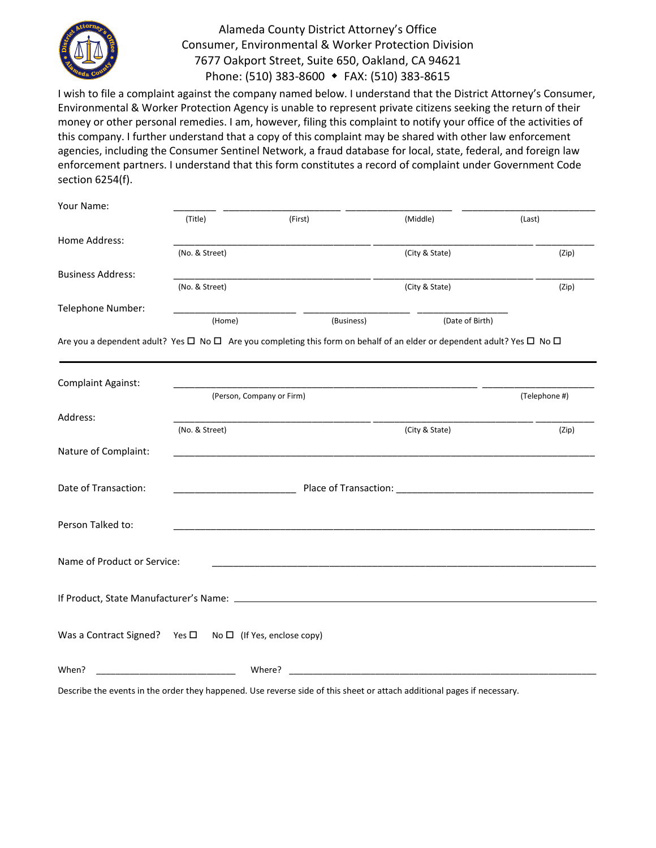

## Alameda County District Attorney's Office Consumer, Environmental & Worker Protection Division 7677 Oakport Street, Suite 650, Oakland, CA 94621 Phone: (510) 383-8600 FAX: (510) 383-8615

I wish to file a complaint against the company named below. I understand that the District Attorney's Consumer, Environmental & Worker Protection Agency is unable to represent private citizens seeking the return of their money or other personal remedies. I am, however, filing this complaint to notify your office of the activities of this company. I further understand that a copy of this complaint may be shared with other law enforcement agencies, including the Consumer Sentinel Network, a fraud database for local, state, federal, and foreign law enforcement partners. I understand that this form constitutes a record of complaint under Government Code section 6254(f).

| Your Name:                                                               |                                                                                                         |                                                                                                                                             |                 |               |  |
|--------------------------------------------------------------------------|---------------------------------------------------------------------------------------------------------|---------------------------------------------------------------------------------------------------------------------------------------------|-----------------|---------------|--|
|                                                                          | (Title)                                                                                                 | (First)                                                                                                                                     | (Middle)        | (Last)        |  |
| Home Address:                                                            |                                                                                                         |                                                                                                                                             |                 |               |  |
|                                                                          | (No. & Street)                                                                                          |                                                                                                                                             | (City & State)  | (Zip)         |  |
| <b>Business Address:</b>                                                 |                                                                                                         |                                                                                                                                             |                 |               |  |
|                                                                          | (No. & Street)                                                                                          |                                                                                                                                             | (City & State)  | (Zip)         |  |
| Telephone Number:                                                        |                                                                                                         |                                                                                                                                             |                 |               |  |
|                                                                          | (Home)                                                                                                  | (Business)                                                                                                                                  | (Date of Birth) |               |  |
|                                                                          |                                                                                                         | Are you a dependent adult? Yes $\Box$ No $\Box$ Are you completing this form on behalf of an elder or dependent adult? Yes $\Box$ No $\Box$ |                 |               |  |
|                                                                          |                                                                                                         |                                                                                                                                             |                 |               |  |
| Complaint Against:                                                       |                                                                                                         |                                                                                                                                             |                 |               |  |
|                                                                          | (Person, Company or Firm)                                                                               |                                                                                                                                             |                 | (Telephone #) |  |
| Address:                                                                 |                                                                                                         |                                                                                                                                             |                 |               |  |
|                                                                          | (No. & Street)                                                                                          |                                                                                                                                             | (City & State)  | (Zip)         |  |
| Nature of Complaint:                                                     |                                                                                                         |                                                                                                                                             |                 |               |  |
|                                                                          |                                                                                                         |                                                                                                                                             |                 |               |  |
| Date of Transaction:                                                     | <b>Example 2018 Place of Transaction: Contract Place of Transaction: Contract Place of Transaction:</b> |                                                                                                                                             |                 |               |  |
|                                                                          |                                                                                                         |                                                                                                                                             |                 |               |  |
| Person Talked to:                                                        |                                                                                                         |                                                                                                                                             |                 |               |  |
|                                                                          |                                                                                                         |                                                                                                                                             |                 |               |  |
| Name of Product or Service:                                              |                                                                                                         |                                                                                                                                             |                 |               |  |
|                                                                          |                                                                                                         |                                                                                                                                             |                 |               |  |
|                                                                          |                                                                                                         |                                                                                                                                             |                 |               |  |
|                                                                          |                                                                                                         |                                                                                                                                             |                 |               |  |
| Was a Contract Signed? Yes $\square$ No $\square$ (If Yes, enclose copy) |                                                                                                         |                                                                                                                                             |                 |               |  |
|                                                                          |                                                                                                         |                                                                                                                                             |                 |               |  |
|                                                                          |                                                                                                         |                                                                                                                                             |                 |               |  |
| When?                                                                    |                                                                                                         | Where?                                                                                                                                      |                 |               |  |

Describe the events in the order they happened. Use reverse side of this sheet or attach additional pages if necessary.